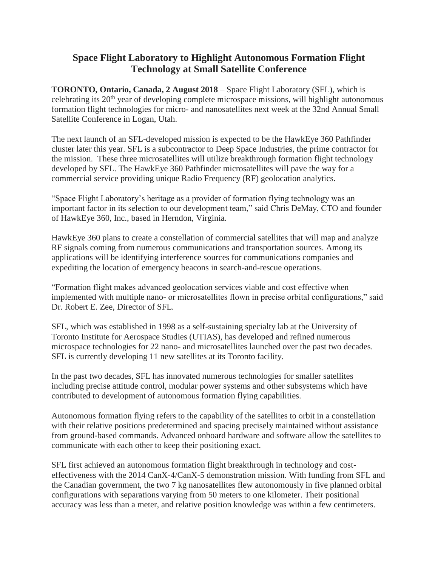## **Space Flight Laboratory to Highlight Autonomous Formation Flight Technology at Small Satellite Conference**

**TORONTO, Ontario, Canada, 2 August 2018** – Space Flight Laboratory (SFL), which is celebrating its 20<sup>th</sup> year of developing complete microspace missions, will highlight autonomous formation flight technologies for micro- and nanosatellites next week at the 32nd Annual Small Satellite Conference in Logan, Utah.

The next launch of an SFL-developed mission is expected to be the HawkEye 360 Pathfinder cluster later this year. SFL is a subcontractor to Deep Space Industries, the prime contractor for the mission. These three microsatellites will utilize breakthrough formation flight technology developed by SFL. The HawkEye 360 Pathfinder microsatellites will pave the way for a commercial service providing unique Radio Frequency (RF) geolocation analytics.

"Space Flight Laboratory's heritage as a provider of formation flying technology was an important factor in its selection to our development team," said Chris DeMay, CTO and founder of HawkEye 360, Inc., based in Herndon, Virginia.

HawkEye 360 plans to create a constellation of commercial satellites that will map and analyze RF signals coming from numerous communications and transportation sources. Among its applications will be identifying interference sources for communications companies and expediting the location of emergency beacons in search-and-rescue operations.

"Formation flight makes advanced geolocation services viable and cost effective when implemented with multiple nano- or microsatellites flown in precise orbital configurations," said Dr. Robert E. Zee, Director of SFL.

SFL, which was established in 1998 as a self-sustaining specialty lab at the University of Toronto Institute for Aerospace Studies (UTIAS), has developed and refined numerous microspace technologies for 22 nano- and microsatellites launched over the past two decades. SFL is currently developing 11 new satellites at its Toronto facility.

In the past two decades, SFL has innovated numerous technologies for smaller satellites including precise attitude control, modular power systems and other subsystems which have contributed to development of autonomous formation flying capabilities.

Autonomous formation flying refers to the capability of the satellites to orbit in a constellation with their relative positions predetermined and spacing precisely maintained without assistance from ground-based commands. Advanced onboard hardware and software allow the satellites to communicate with each other to keep their positioning exact.

SFL first achieved an autonomous formation flight breakthrough in technology and costeffectiveness with the 2014 CanX-4/CanX-5 demonstration mission. With funding from SFL and the Canadian government, the two 7 kg nanosatellites flew autonomously in five planned orbital configurations with separations varying from 50 meters to one kilometer. Their positional accuracy was less than a meter, and relative position knowledge was within a few centimeters.